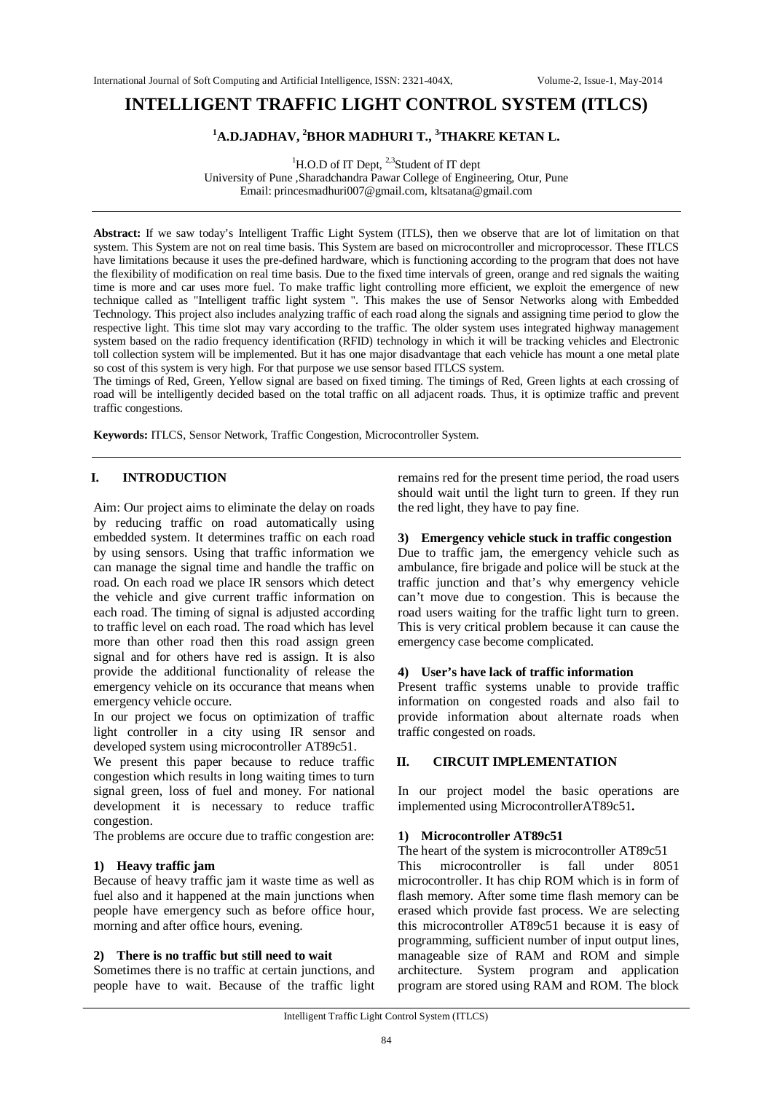# **INTELLIGENT TRAFFIC LIGHT CONTROL SYSTEM (ITLCS)**

## **<sup>1</sup>A.D.JADHAV, <sup>2</sup>BHOR MADHURI T., <sup>3</sup>THAKRE KETAN L.**

<sup>1</sup>H.O.D of IT Dept, <sup>2,3</sup>Student of IT dept University of Pune ,Sharadchandra Pawar College of Engineering, Otur, Pune Email: princesmadhuri007@gmail.com, kltsatana@gmail.com

**Abstract:** If we saw today's Intelligent Traffic Light System (ITLS), then we observe that are lot of limitation on that system. This System are not on real time basis. This System are based on microcontroller and microprocessor. These ITLCS have limitations because it uses the pre-defined hardware, which is functioning according to the program that does not have the flexibility of modification on real time basis. Due to the fixed time intervals of green, orange and red signals the waiting time is more and car uses more fuel. To make traffic light controlling more efficient, we exploit the emergence of new technique called as "Intelligent traffic light system ". This makes the use of Sensor Networks along with Embedded Technology. This project also includes analyzing traffic of each road along the signals and assigning time period to glow the respective light. This time slot may vary according to the traffic. The older system uses integrated highway management system based on the radio frequency identification (RFID) technology in which it will be tracking vehicles and Electronic toll collection system will be implemented. But it has one major disadvantage that each vehicle has mount a one metal plate so cost of this system is very high. For that purpose we use sensor based ITLCS system.

The timings of Red, Green, Yellow signal are based on fixed timing. The timings of Red, Green lights at each crossing of road will be intelligently decided based on the total traffic on all adjacent roads. Thus, it is optimize traffic and prevent traffic congestions.

**Keywords:** ITLCS, Sensor Network, Traffic Congestion, Microcontroller System.

## **I. INTRODUCTION**

Aim: Our project aims to eliminate the delay on roads by reducing traffic on road automatically using embedded system. It determines traffic on each road by using sensors. Using that traffic information we can manage the signal time and handle the traffic on road. On each road we place IR sensors which detect the vehicle and give current traffic information on each road. The timing of signal is adjusted according to traffic level on each road. The road which has level more than other road then this road assign green signal and for others have red is assign. It is also provide the additional functionality of release the emergency vehicle on its occurance that means when emergency vehicle occure.

In our project we focus on optimization of traffic light controller in a city using IR sensor and developed system using microcontroller AT89c51.

We present this paper because to reduce traffic congestion which results in long waiting times to turn signal green, loss of fuel and money. For national development it is necessary to reduce traffic congestion.

The problems are occure due to traffic congestion are:

## **1) Heavy traffic jam**

Because of heavy traffic jam it waste time as well as fuel also and it happened at the main junctions when people have emergency such as before office hour, morning and after office hours, evening.

#### **2) There is no traffic but still need to wait**

Sometimes there is no traffic at certain junctions, and people have to wait. Because of the traffic light remains red for the present time period, the road users should wait until the light turn to green. If they run the red light, they have to pay fine.

#### **3) Emergency vehicle stuck in traffic congestion**

Due to traffic jam, the emergency vehicle such as ambulance, fire brigade and police will be stuck at the traffic junction and that's why emergency vehicle can't move due to congestion. This is because the road users waiting for the traffic light turn to green. This is very critical problem because it can cause the emergency case become complicated.

#### **4) User's have lack of traffic information**

Present traffic systems unable to provide traffic information on congested roads and also fail to provide information about alternate roads when traffic congested on roads.

#### **II. CIRCUIT IMPLEMENTATION**

In our project model the basic operations are implemented using MicrocontrollerAT89c51**.**

#### **1) Microcontroller AT89c51**

The heart of the system is microcontroller AT89c51

This microcontroller is fall under 8051 microcontroller. It has chip ROM which is in form of flash memory. After some time flash memory can be erased which provide fast process. We are selecting this microcontroller AT89c51 because it is easy of programming, sufficient number of input output lines, manageable size of RAM and ROM and simple architecture. System program and application program are stored using RAM and ROM. The block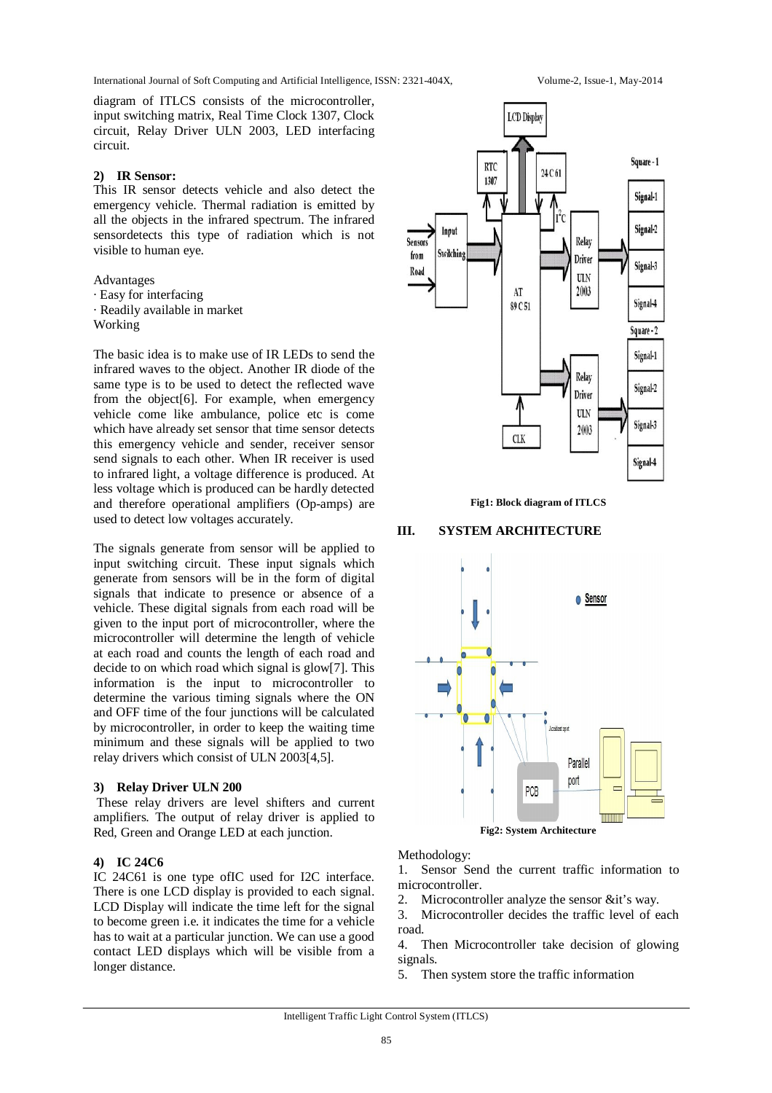International Journal of Soft Computing and Artificial Intelligence, ISSN: 2321-404X, Volume-2, Issue-1, May-2014

diagram of ITLCS consists of the microcontroller, input switching matrix, Real Time Clock 1307, Clock circuit, Relay Driver ULN 2003, LED interfacing circuit.

## **2) IR Sensor:**

This IR sensor detects vehicle and also detect the emergency vehicle. Thermal radiation is emitted by all the objects in the infrared spectrum. The infrared sensordetects this type of radiation which is not visible to human eye.

Advantages

- · Easy for interfacing
- · Readily available in market
- Working

The basic idea is to make use of IR LEDs to send the infrared waves to the object. Another IR diode of the same type is to be used to detect the reflected wave from the object[6]. For example, when emergency vehicle come like ambulance, police etc is come which have already set sensor that time sensor detects this emergency vehicle and sender, receiver sensor send signals to each other. When IR receiver is used to infrared light, a voltage difference is produced. At less voltage which is produced can be hardly detected and therefore operational amplifiers (Op-amps) are used to detect low voltages accurately.

The signals generate from sensor will be applied to input switching circuit. These input signals which generate from sensors will be in the form of digital signals that indicate to presence or absence of a vehicle. These digital signals from each road will be given to the input port of microcontroller, where the microcontroller will determine the length of vehicle at each road and counts the length of each road and decide to on which road which signal is glow[7]. This information is the input to microcontroller to determine the various timing signals where the ON and OFF time of the four junctions will be calculated by microcontroller, in order to keep the waiting time minimum and these signals will be applied to two relay drivers which consist of ULN 2003[4,5].

## **3) Relay Driver ULN 200**

These relay drivers are level shifters and current amplifiers. The output of relay driver is applied to Red, Green and Orange LED at each junction.

## **4) IC 24C6**

IC 24C61 is one type ofIC used for I2C interface. There is one LCD display is provided to each signal. LCD Display will indicate the time left for the signal to become green i.e. it indicates the time for a vehicle has to wait at a particular junction. We can use a good contact LED displays which will be visible from a longer distance.



**Fig1: Block diagram of ITLCS**

## **III. SYSTEM ARCHITECTURE**



## Methodology:

1. Sensor Send the current traffic information to microcontroller.

2. Microcontroller analyze the sensor &it's way.

3. Microcontroller decides the traffic level of each road.

4. Then Microcontroller take decision of glowing signals.

5. Then system store the traffic information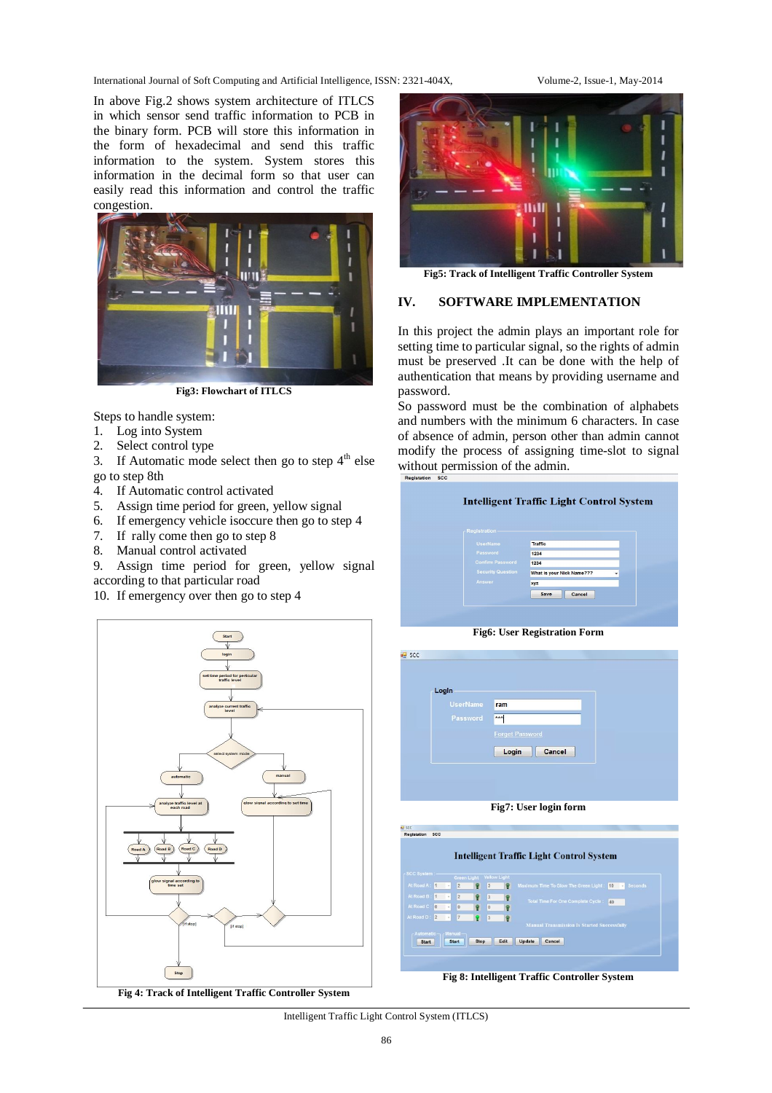International Journal of Soft Computing and Artificial Intelligence, ISSN: 2321-404X, Volume-2, Issue-1, May-2014

In above Fig.2 shows system architecture of ITLCS in which sensor send traffic information to PCB in the binary form. PCB will store this information in the form of hexadecimal and send this traffic information to the system. System stores this information in the decimal form so that user can easily read this information and control the traffic congestion.



**Fig3: Flowchart of ITLCS**

Steps to handle system:

- 1. Log into System
- 2. Select control type
- 3. If Automatic mode select then go to step  $4<sup>th</sup>$  else go to step 8th
- 4. If Automatic control activated
- 5. Assign time period for green, yellow signal
- 6. If emergency vehicle isoccure then go to step 4
- 7. If rally come then go to step 8
- 8. Manual control activated

9. Assign time period for green, yellow signal according to that particular road

10. If emergency over then go to step 4



**Fig 4: Track of Intelligent Traffic Controller System**



**Fig5: Track of Intelligent Traffic Controller System**

#### **IV. SOFTWARE IMPLEMENTATION**

In this project the admin plays an important role for setting time to particular signal, so the rights of admin must be preserved .It can be done with the help of authentication that means by providing username and password.

So password must be the combination of alphabets and numbers with the minimum 6 characters. In case of absence of admin, person other than admin cannot modify the process of assigning time-slot to signal without permission of the admin.

| Registration-            |                                |
|--------------------------|--------------------------------|
| <b>UserName</b>          | <b>Traffic</b>                 |
| Password                 | 1234                           |
| <b>Confirm Password</b>  | 1234                           |
| <b>Security Question</b> | What is your Nick Name???<br>٠ |
| Answer                   | xyz                            |
|                          | Save<br>Cancel                 |



| Login    |                        |  |
|----------|------------------------|--|
| UserName | ram                    |  |
| Password | <b>KRA</b>             |  |
|          | <b>Forget Password</b> |  |
|          | Cancel<br>Login        |  |





**Fig 8: Intelligent Traffic Controller System**

#### Intelligent Traffic Light Control System (ITLCS)